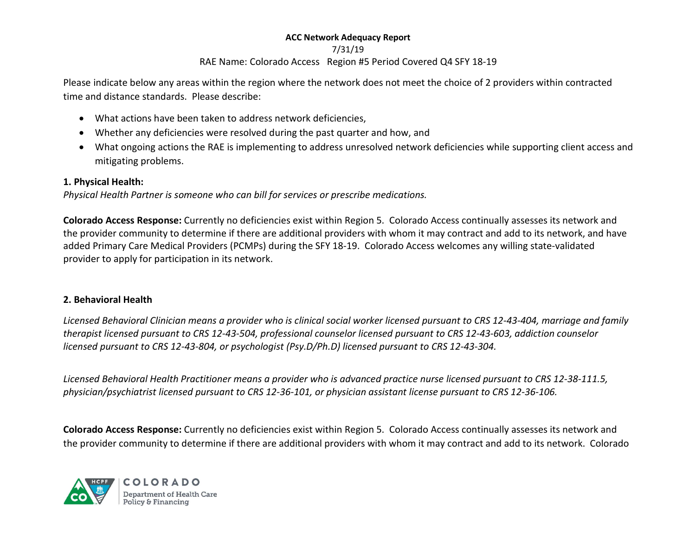#### 7/31/19

# RAE Name: Colorado Access Region #5 Period Covered Q4 SFY 18-19

Please indicate below any areas within the region where the network does not meet the choice of 2 providers within contracted time and distance standards. Please describe:

- What actions have been taken to address network deficiencies,
- Whether any deficiencies were resolved during the past quarter and how, and
- What ongoing actions the RAE is implementing to address unresolved network deficiencies while supporting client access and mitigating problems.

# 1. Physical Health:

Physical Health Partner is someone who can bill for services or prescribe medications.

Colorado Access Response: Currently no deficiencies exist within Region 5. Colorado Access continually assesses its network and the provider community to determine if there are additional providers with whom it may contract and add to its network, and have added Primary Care Medical Providers (PCMPs) during the SFY 18-19. Colorado Access welcomes any willing state-validated provider to apply for participation in its network.

# 2. Behavioral Health

Licensed Behavioral Clinician means a provider who is clinical social worker licensed pursuant to CRS 12-43-404, marriage and family therapist licensed pursuant to CRS 12-43-504, professional counselor licensed pursuant to CRS 12-43-603, addiction counselor licensed pursuant to CRS 12-43-804, or psychologist (Psy.D/Ph.D) licensed pursuant to CRS 12-43-304.

Licensed Behavioral Health Practitioner means a provider who is advanced practice nurse licensed pursuant to CRS 12-38-111.5, physician/psychiatrist licensed pursuant to CRS 12-36-101, or physician assistant license pursuant to CRS 12-36-106.

Colorado Access Response: Currently no deficiencies exist within Region 5. Colorado Access continually assesses its network and the provider community to determine if there are additional providers with whom it may contract and add to its network. Colorado



COLORADO **Department of Health Care** Policy & Financing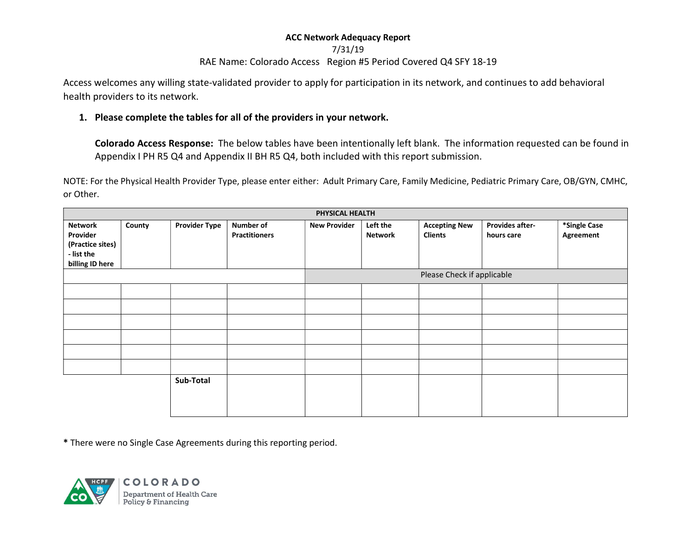# 7/31/19

# RAE Name: Colorado Access Region #5 Period Covered Q4 SFY 18-19

Access welcomes any willing state-validated provider to apply for participation in its network, and continues to add behavioral health providers to its network.

## 1. Please complete the tables for all of the providers in your network.

Colorado Access Response: The below tables have been intentionally left blank. The information requested can be found in Appendix I PH R5 Q4 and Appendix II BH R5 Q4, both included with this report submission.

NOTE: For the Physical Health Provider Type, please enter either: Adult Primary Care, Family Medicine, Pediatric Primary Care, OB/GYN, CMHC, or Other.

|                                                                                 | PHYSICAL HEALTH |                      |                                   |                     |                     |                                        |                               |                           |
|---------------------------------------------------------------------------------|-----------------|----------------------|-----------------------------------|---------------------|---------------------|----------------------------------------|-------------------------------|---------------------------|
| <b>Network</b><br>Provider<br>(Practice sites)<br>- list the<br>billing ID here | County          | <b>Provider Type</b> | Number of<br><b>Practitioners</b> | <b>New Provider</b> | Left the<br>Network | <b>Accepting New</b><br><b>Clients</b> | Provides after-<br>hours care | *Single Case<br>Agreement |
|                                                                                 |                 |                      | Please Check if applicable        |                     |                     |                                        |                               |                           |
|                                                                                 |                 |                      |                                   |                     |                     |                                        |                               |                           |
|                                                                                 |                 |                      |                                   |                     |                     |                                        |                               |                           |
|                                                                                 |                 |                      |                                   |                     |                     |                                        |                               |                           |
|                                                                                 |                 |                      |                                   |                     |                     |                                        |                               |                           |
|                                                                                 |                 |                      |                                   |                     |                     |                                        |                               |                           |
|                                                                                 |                 |                      |                                   |                     |                     |                                        |                               |                           |
|                                                                                 |                 | Sub-Total            |                                   |                     |                     |                                        |                               |                           |

\* There were no Single Case Agreements during this reporting period.

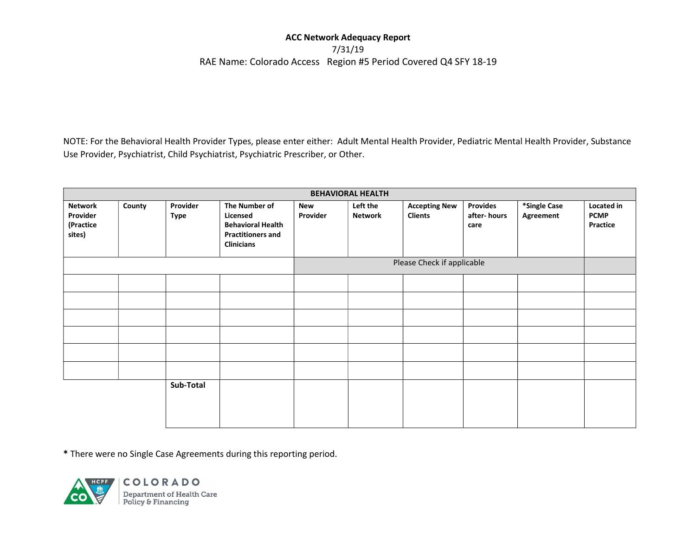## 7/31/19 RAE Name: Colorado Access Region #5 Period Covered Q4 SFY 18-19

NOTE: For the Behavioral Health Provider Types, please enter either: Adult Mental Health Provider, Pediatric Mental Health Provider, Substance Use Provider, Psychiatrist, Child Psychiatrist, Psychiatric Prescriber, or Other.

| <b>BEHAVIORAL HEALTH</b>                          |        |                         |                                                                                                        |                 |                            |                                        |                                        |                           |                                              |
|---------------------------------------------------|--------|-------------------------|--------------------------------------------------------------------------------------------------------|-----------------|----------------------------|----------------------------------------|----------------------------------------|---------------------------|----------------------------------------------|
| <b>Network</b><br>Provider<br>(Practice<br>sites) | County | Provider<br><b>Type</b> | The Number of<br>Licensed<br><b>Behavioral Health</b><br><b>Practitioners and</b><br><b>Clinicians</b> | New<br>Provider | Left the<br><b>Network</b> | <b>Accepting New</b><br><b>Clients</b> | <b>Provides</b><br>after-hours<br>care | *Single Case<br>Agreement | Located in<br><b>PCMP</b><br><b>Practice</b> |
|                                                   |        |                         | Please Check if applicable                                                                             |                 |                            |                                        |                                        |                           |                                              |
|                                                   |        |                         |                                                                                                        |                 |                            |                                        |                                        |                           |                                              |
|                                                   |        |                         |                                                                                                        |                 |                            |                                        |                                        |                           |                                              |
|                                                   |        |                         |                                                                                                        |                 |                            |                                        |                                        |                           |                                              |
|                                                   |        |                         |                                                                                                        |                 |                            |                                        |                                        |                           |                                              |
|                                                   |        |                         |                                                                                                        |                 |                            |                                        |                                        |                           |                                              |
|                                                   |        |                         |                                                                                                        |                 |                            |                                        |                                        |                           |                                              |
|                                                   |        | Sub-Total               |                                                                                                        |                 |                            |                                        |                                        |                           |                                              |

\* There were no Single Case Agreements during this reporting period.



COLORADO **Department of Health Care<br>Policy & Financing**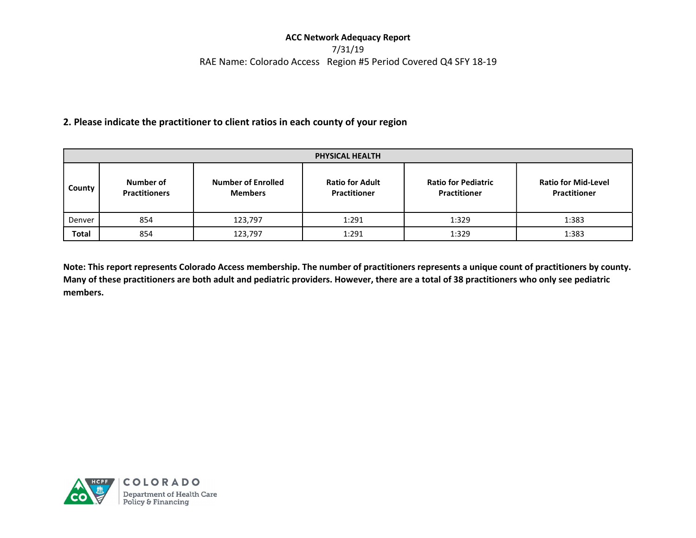## 7/31/19 RAE Name: Colorado Access Region #5 Period Covered Q4 SFY 18-19

### 2. Please indicate the practitioner to client ratios in each county of your region

| <b>PHYSICAL HEALTH</b> |                                                                                  |         |                                               |                                                   |                                                   |  |  |
|------------------------|----------------------------------------------------------------------------------|---------|-----------------------------------------------|---------------------------------------------------|---------------------------------------------------|--|--|
| County                 | <b>Number of Enrolled</b><br>Number of<br><b>Practitioners</b><br><b>Members</b> |         | <b>Ratio for Adult</b><br><b>Practitioner</b> | <b>Ratio for Pediatric</b><br><b>Practitioner</b> | <b>Ratio for Mid-Level</b><br><b>Practitioner</b> |  |  |
| Denver                 | 854                                                                              | 123,797 | 1:291                                         | 1:329                                             | 1:383                                             |  |  |
| <b>Total</b>           | 854                                                                              | 123,797 | 1:291                                         | 1:329                                             | 1:383                                             |  |  |

Note: This report represents Colorado Access membership. The number of practitioners represents a unique count of practitioners by county. Many of these practitioners are both adult and pediatric providers. However, there are a total of 38 practitioners who only see pediatric members.